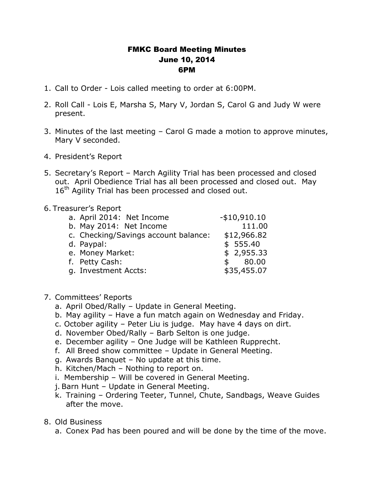## FMKC Board Meeting Minutes June 10, 2014 6PM

- 1. Call to Order Lois called meeting to order at 6:00PM.
- 2. Roll Call Lois E, Marsha S, Mary V, Jordan S, Carol G and Judy W were present.
- 3. Minutes of the last meeting Carol G made a motion to approve minutes, Mary V seconded.
- 4. President's Report
- 5. Secretary's Report March Agility Trial has been processed and closed out. April Obedience Trial has all been processed and closed out. May 16<sup>th</sup> Agility Trial has been processed and closed out.

## 6. Treasurer's Report

| b. May 2014: Net Income<br>c. Checking/Savings account balance:<br>d. Paypal:<br>e. Money Market:<br>f. Petty Cash:<br>g. Investment Accts: | a. April 2014: Net Income | $-$10,910.10$ |
|---------------------------------------------------------------------------------------------------------------------------------------------|---------------------------|---------------|
|                                                                                                                                             |                           | 111.00        |
|                                                                                                                                             |                           | \$12,966.82   |
|                                                                                                                                             |                           | \$555.40      |
|                                                                                                                                             |                           | \$2,955.33    |
|                                                                                                                                             |                           | \$80.00       |
|                                                                                                                                             |                           | \$35,455.07   |

- 7. Committees' Reports
	- a. April Obed/Rally Update in General Meeting.
	- b. May agility Have a fun match again on Wednesday and Friday.
	- c. October agility Peter Liu is judge. May have 4 days on dirt.
	- d. November Obed/Rally Barb Selton is one judge.
	- e. December agility One Judge will be Kathleen Rupprecht.
	- f. All Breed show committee Update in General Meeting.
	- g. Awards Banquet No update at this time.
	- h. Kitchen/Mach Nothing to report on.
	- i. Membership Will be covered in General Meeting.
	- j. Barn Hunt Update in General Meeting.
	- k. Training Ordering Teeter, Tunnel, Chute, Sandbags, Weave Guides after the move.
- 8. Old Business
	- a. Conex Pad has been poured and will be done by the time of the move.